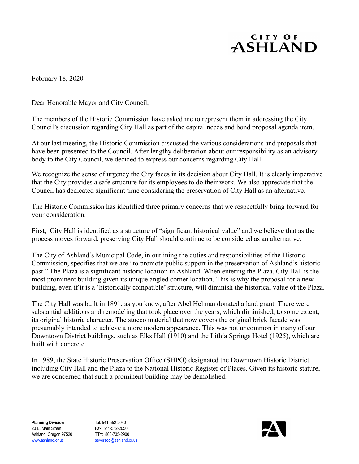## CITY OF ASHLAND

February 18, 2020

Dear Honorable Mayor and City Council,

The members of the Historic Commission have asked me to represent them in addressing the City Council's discussion regarding City Hall as part of the capital needs and bond proposal agenda item.

At our last meeting, the Historic Commission discussed the various considerations and proposals that have been presented to the Council. After lengthy deliberation about our responsibility as an advisory body to the City Council, we decided to express our concerns regarding City Hall.

We recognize the sense of urgency the City faces in its decision about City Hall. It is clearly imperative that the City provides a safe structure for its employees to do their work. We also appreciate that the Council has dedicated significant time considering the preservation of City Hall as an alternative.

The Historic Commission has identified three primary concerns that we respectfully bring forward for your consideration.

First, City Hall is identified as a structure of "significant historical value" and we believe that as the process moves forward, preserving City Hall should continue to be considered as an alternative.

The City of Ashland's Municipal Code, in outlining the duties and responsibilities of the Historic Commission, specifies that we are "to promote public support in the preservation of Ashland's historic past." The Plaza is a significant historic location in Ashland. When entering the Plaza, City Hall is the most prominent building given its unique angled corner location. This is why the proposal for a new building, even if it is a 'historically compatible' structure, will diminish the historical value of the Plaza.

The City Hall was built in 1891, as you know, after Abel Helman donated a land grant. There were substantial additions and remodeling that took place over the years, which diminished, to some extent, its original historic character. The stucco material that now covers the original brick facade was presumably intended to achieve a more modern appearance. This was not uncommon in many of our Downtown District buildings, such as Elks Hall (1910) and the Lithia Springs Hotel (1925), which are built with concrete.

In 1989, the State Historic Preservation Office (SHPO) designated the Downtown Historic District including City Hall and the Plaza to the National Historic Register of Places. Given its historic stature, we are concerned that such a prominent building may be demolished.

**Planning Division** Tel: 541-552-2040 20 E. Main Street Fax: 541-552-2050 Ashland, Oregon 97520 TTY: 800-735-2900 www.ashland.or.us seversod@ashland.or.us